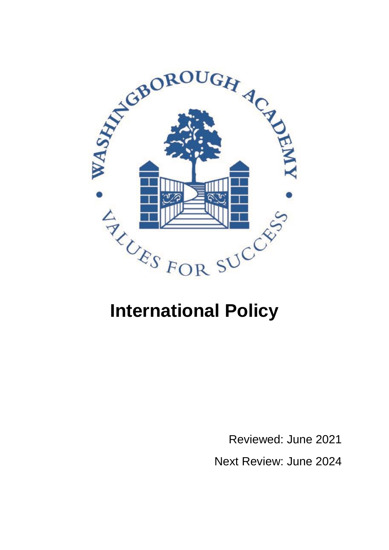

## **International Policy**

Reviewed: June 2021 Next Review: June 2024